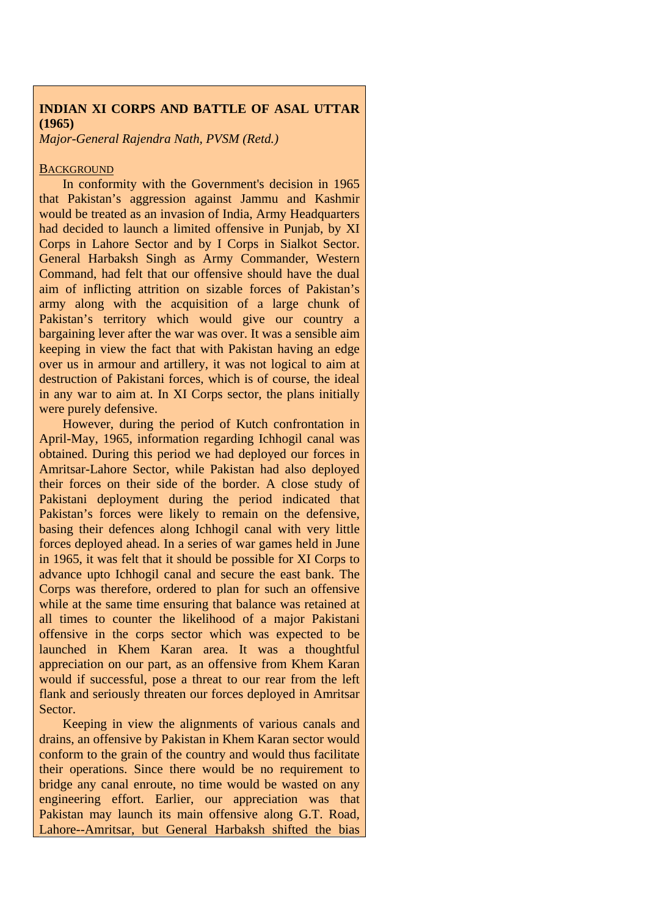# **INDIAN XI CORPS AND BATTLE OF ASAL UTTAR (1965)**

*Major-General Rajendra Nath, PVSM (Retd.)* 

#### **BACKGROUND**

In conformity with the Government's decision in 1965 that Pakistan's aggression against Jammu and Kashmir would be treated as an invasion of India, Army Headquarters had decided to launch a limited offensive in Punjab, by XI Corps in Lahore Sector and by I Corps in Sialkot Sector. General Harbaksh Singh as Army Commander, Western Command, had felt that our offensive should have the dual aim of inflicting attrition on sizable forces of Pakistan's army along with the acquisition of a large chunk of Pakistan's territory which would give our country a bargaining lever after the war was over. It was a sensible aim keeping in view the fact that with Pakistan having an edge over us in armour and artillery, it was not logical to aim at destruction of Pakistani forces, which is of course, the ideal in any war to aim at. In XI Corps sector, the plans initially were purely defensive.

However, during the period of Kutch confrontation in April-May, 1965, information regarding Ichhogil canal was obtained. During this period we had deployed our forces in Amritsar-Lahore Sector, while Pakistan had also deployed their forces on their side of the border. A close study of Pakistani deployment during the period indicated that Pakistan's forces were likely to remain on the defensive, basing their defences along Ichhogil canal with very little forces deployed ahead. In a series of war games held in June in 1965, it was felt that it should be possible for XI Corps to advance upto Ichhogil canal and secure the east bank. The Corps was therefore, ordered to plan for such an offensive while at the same time ensuring that balance was retained at all times to counter the likelihood of a major Pakistani offensive in the corps sector which was expected to be launched in Khem Karan area. It was a thoughtful appreciation on our part, as an offensive from Khem Karan would if successful, pose a threat to our rear from the left flank and seriously threaten our forces deployed in Amritsar Sector.

Keeping in view the alignments of various canals and drains, an offensive by Pakistan in Khem Karan sector would conform to the grain of the country and would thus facilitate their operations. Since there would be no requirement to bridge any canal enroute, no time would be wasted on any engineering effort. Earlier, our appreciation was that Pakistan may launch its main offensive along G.T. Road, Lahore--Amritsar, but General Harbaksh shifted the bias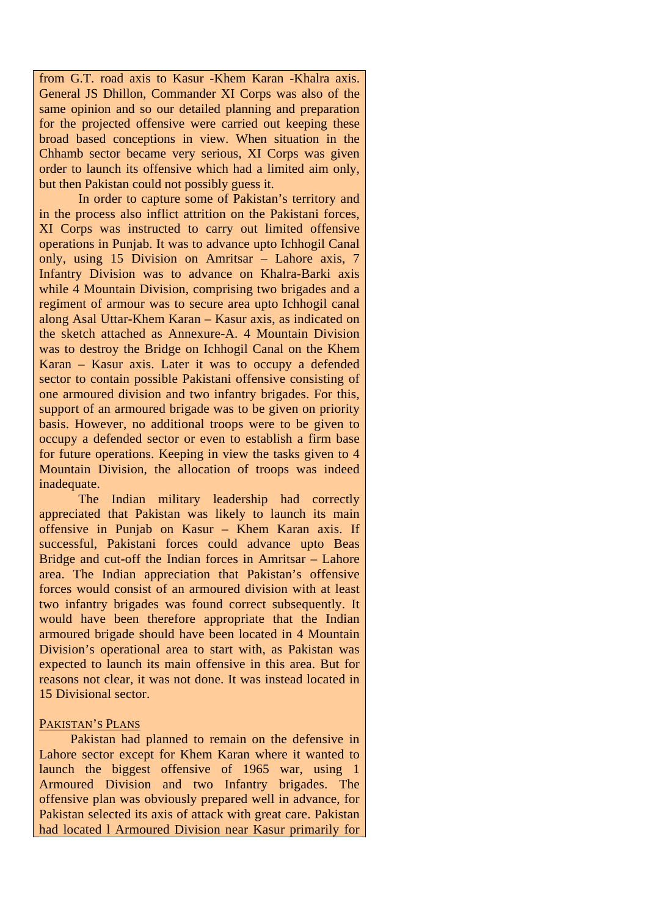from G.T. road axis to Kasur -Khem Karan -Khalra axis. General JS Dhillon, Commander XI Corps was also of the same opinion and so our detailed planning and preparation for the projected offensive were carried out keeping these broad based conceptions in view. When situation in the Chhamb sector became very serious, XI Corps was given order to launch its offensive which had a limited aim only, but then Pakistan could not possibly guess it.

 In order to capture some of Pakistan's territory and in the process also inflict attrition on the Pakistani forces, XI Corps was instructed to carry out limited offensive operations in Punjab. It was to advance upto Ichhogil Canal only, using 15 Division on Amritsar – Lahore axis, 7 Infantry Division was to advance on Khalra-Barki axis while 4 Mountain Division, comprising two brigades and a regiment of armour was to secure area upto Ichhogil canal along Asal Uttar-Khem Karan – Kasur axis, as indicated on the sketch attached as Annexure-A. 4 Mountain Division was to destroy the Bridge on Ichhogil Canal on the Khem Karan – Kasur axis. Later it was to occupy a defended sector to contain possible Pakistani offensive consisting of one armoured division and two infantry brigades. For this, support of an armoured brigade was to be given on priority basis. However, no additional troops were to be given to occupy a defended sector or even to establish a firm base for future operations. Keeping in view the tasks given to 4 Mountain Division, the allocation of troops was indeed inadequate.

 The Indian military leadership had correctly appreciated that Pakistan was likely to launch its main offensive in Punjab on Kasur – Khem Karan axis. If successful, Pakistani forces could advance upto Beas Bridge and cut-off the Indian forces in Amritsar – Lahore area. The Indian appreciation that Pakistan's offensive forces would consist of an armoured division with at least two infantry brigades was found correct subsequently. It would have been therefore appropriate that the Indian armoured brigade should have been located in 4 Mountain Division's operational area to start with, as Pakistan was expected to launch its main offensive in this area. But for reasons not clear, it was not done. It was instead located in 15 Divisional sector.

## PAKISTAN'S PLANS

Pakistan had planned to remain on the defensive in Lahore sector except for Khem Karan where it wanted to launch the biggest offensive of 1965 war, using 1 Armoured Division and two Infantry brigades. The offensive plan was obviously prepared well in advance, for Pakistan selected its axis of attack with great care. Pakistan had located l Armoured Division near Kasur primarily for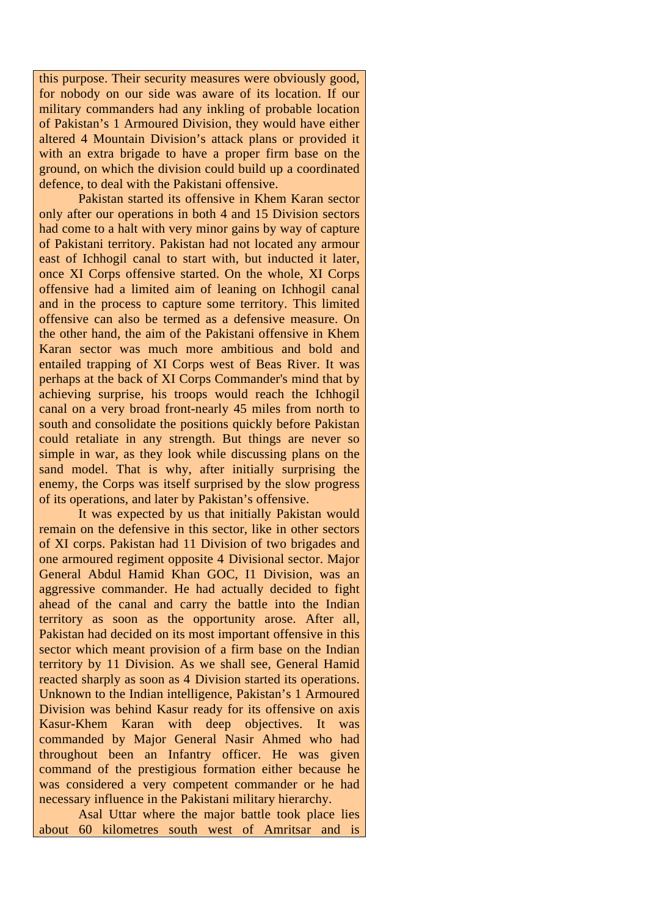this purpose. Their security measures were obviously good, for nobody on our side was aware of its location. If our military commanders had any inkling of probable location of Pakistan's 1 Armoured Division, they would have either altered 4 Mountain Division's attack plans or provided it with an extra brigade to have a proper firm base on the ground, on which the division could build up a coordinated defence, to deal with the Pakistani offensive.

 Pakistan started its offensive in Khem Karan sector only after our operations in both 4 and 15 Division sectors had come to a halt with very minor gains by way of capture of Pakistani territory. Pakistan had not located any armour east of Ichhogil canal to start with, but inducted it later, once XI Corps offensive started. On the whole, XI Corps offensive had a limited aim of leaning on Ichhogil canal and in the process to capture some territory. This limited offensive can also be termed as a defensive measure. On the other hand, the aim of the Pakistani offensive in Khem Karan sector was much more ambitious and bold and entailed trapping of XI Corps west of Beas River. It was perhaps at the back of XI Corps Commander's mind that by achieving surprise, his troops would reach the Ichhogil canal on a very broad front-nearly 45 miles from north to south and consolidate the positions quickly before Pakistan could retaliate in any strength. But things are never so simple in war, as they look while discussing plans on the sand model. That is why, after initially surprising the enemy, the Corps was itself surprised by the slow progress of its operations, and later by Pakistan's offensive.

It was expected by us that initially Pakistan would remain on the defensive in this sector, like in other sectors of XI corps. Pakistan had 11 Division of two brigades and one armoured regiment opposite 4 Divisional sector. Major General Abdul Hamid Khan GOC, I1 Division, was an aggressive commander. He had actually decided to fight ahead of the canal and carry the battle into the Indian territory as soon as the opportunity arose. After all, Pakistan had decided on its most important offensive in this sector which meant provision of a firm base on the Indian territory by 11 Division. As we shall see, General Hamid reacted sharply as soon as 4 Division started its operations. Unknown to the Indian intelligence, Pakistan's 1 Armoured Division was behind Kasur ready for its offensive on axis Kasur-Khem Karan with deep objectives. It was commanded by Major General Nasir Ahmed who had throughout been an Infantry officer. He was given command of the prestigious formation either because he was considered a very competent commander or he had necessary influence in the Pakistani military hierarchy.

Asal Uttar where the major battle took place lies about 60 kilometres south west of Amritsar and is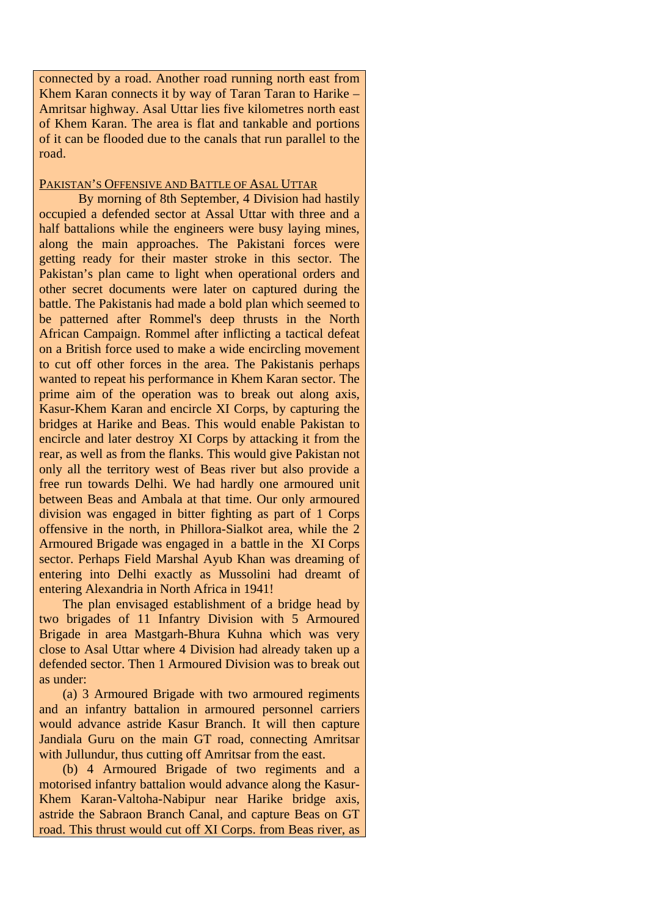connected by a road. Another road running north east from Khem Karan connects it by way of Taran Taran to Harike – Amritsar highway. Asal Uttar lies five kilometres north east of Khem Karan. The area is flat and tankable and portions of it can be flooded due to the canals that run parallel to the road.

## PAKISTAN'S OFFENSIVE AND BATTLE OF ASAL UTTAR

By morning of 8th September, 4 Division had hastily occupied a defended sector at Assal Uttar with three and a half battalions while the engineers were busy laying mines, along the main approaches. The Pakistani forces were getting ready for their master stroke in this sector. The Pakistan's plan came to light when operational orders and other secret documents were later on captured during the battle. The Pakistanis had made a bold plan which seemed to be patterned after Rommel's deep thrusts in the North African Campaign. Rommel after inflicting a tactical defeat on a British force used to make a wide encircling movement to cut off other forces in the area. The Pakistanis perhaps wanted to repeat his performance in Khem Karan sector. The prime aim of the operation was to break out along axis, Kasur-Khem Karan and encircle XI Corps, by capturing the bridges at Harike and Beas. This would enable Pakistan to encircle and later destroy XI Corps by attacking it from the rear, as well as from the flanks. This would give Pakistan not only all the territory west of Beas river but also provide a free run towards Delhi. We had hardly one armoured unit between Beas and Ambala at that time. Our only armoured division was engaged in bitter fighting as part of 1 Corps offensive in the north, in Phillora-Sialkot area, while the 2 Armoured Brigade was engaged in a battle in the XI Corps sector. Perhaps Field Marshal Ayub Khan was dreaming of entering into Delhi exactly as Mussolini had dreamt of entering Alexandria in North Africa in 1941!

The plan envisaged establishment of a bridge head by two brigades of 11 Infantry Division with 5 Armoured Brigade in area Mastgarh-Bhura Kuhna which was very close to Asal Uttar where 4 Division had already taken up a defended sector. Then 1 Armoured Division was to break out as under:

(a) 3 Armoured Brigade with two armoured regiments and an infantry battalion in armoured personnel carriers would advance astride Kasur Branch. It will then capture Jandiala Guru on the main GT road, connecting Amritsar with Jullundur, thus cutting off Amritsar from the east.

(b) 4 Armoured Brigade of two regiments and a motorised infantry battalion would advance along the Kasur-Khem Karan-Valtoha-Nabipur near Harike bridge axis, astride the Sabraon Branch Canal, and capture Beas on GT road. This thrust would cut off XI Corps. from Beas river, as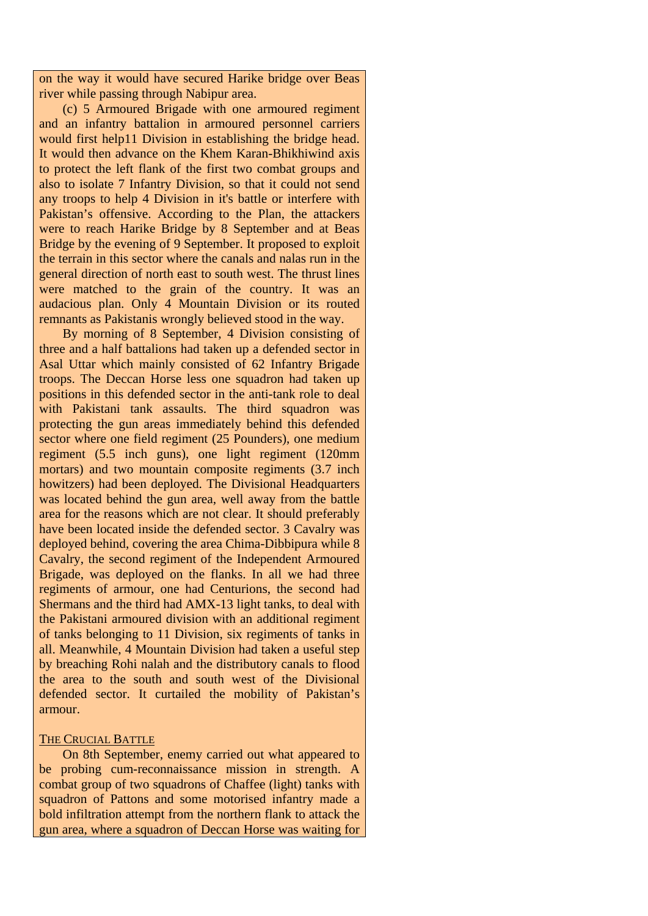on the way it would have secured Harike bridge over Beas river while passing through Nabipur area.

(c) 5 Armoured Brigade with one armoured regiment and an infantry battalion in armoured personnel carriers would first help11 Division in establishing the bridge head. It would then advance on the Khem Karan-Bhikhiwind axis to protect the left flank of the first two combat groups and also to isolate 7 Infantry Division, so that it could not send any troops to help 4 Division in it's battle or interfere with Pakistan's offensive. According to the Plan, the attackers were to reach Harike Bridge by 8 September and at Beas Bridge by the evening of 9 September. It proposed to exploit the terrain in this sector where the canals and nalas run in the general direction of north east to south west. The thrust lines were matched to the grain of the country. It was an audacious plan. Only 4 Mountain Division or its routed remnants as Pakistanis wrongly believed stood in the way.

By morning of 8 September, 4 Division consisting of three and a half battalions had taken up a defended sector in Asal Uttar which mainly consisted of 62 Infantry Brigade troops. The Deccan Horse less one squadron had taken up positions in this defended sector in the anti-tank role to deal with Pakistani tank assaults. The third squadron was protecting the gun areas immediately behind this defended sector where one field regiment (25 Pounders), one medium regiment (5.5 inch guns), one light regiment (120mm mortars) and two mountain composite regiments (3.7 inch howitzers) had been deployed. The Divisional Headquarters was located behind the gun area, well away from the battle area for the reasons which are not clear. It should preferably have been located inside the defended sector. 3 Cavalry was deployed behind, covering the area Chima-Dibbipura while 8 Cavalry, the second regiment of the Independent Armoured Brigade, was deployed on the flanks. In all we had three regiments of armour, one had Centurions, the second had Shermans and the third had AMX-13 light tanks, to deal with the Pakistani armoured division with an additional regiment of tanks belonging to 11 Division, six regiments of tanks in all. Meanwhile, 4 Mountain Division had taken a useful step by breaching Rohi nalah and the distributory canals to flood the area to the south and south west of the Divisional defended sector. It curtailed the mobility of Pakistan's armour.

#### THE CRUCIAL BATTLE

On 8th September, enemy carried out what appeared to be probing cum-reconnaissance mission in strength. A combat group of two squadrons of Chaffee (light) tanks with squadron of Pattons and some motorised infantry made a bold infiltration attempt from the northern flank to attack the gun area, where a squadron of Deccan Horse was waiting for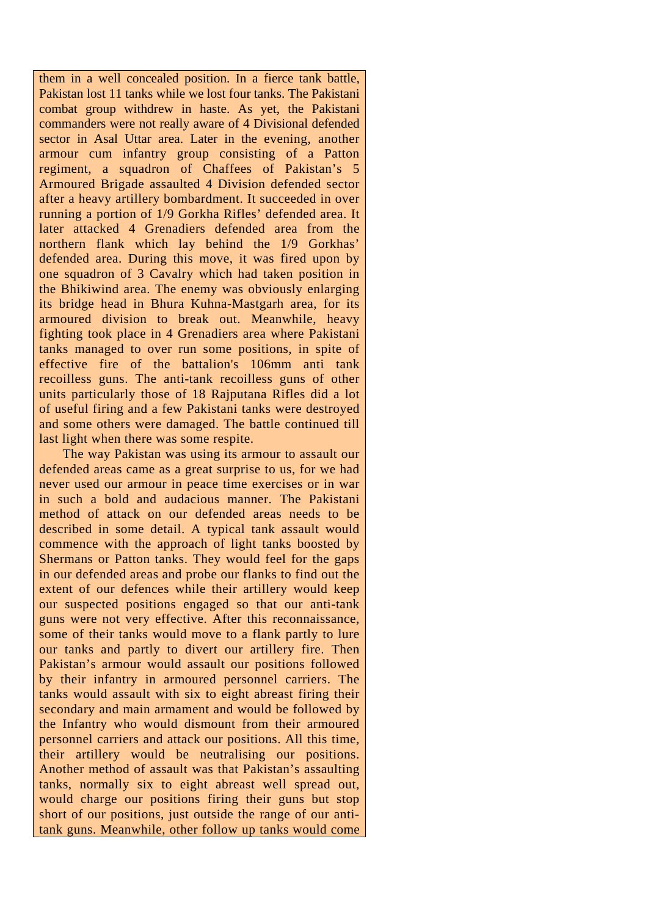them in a well concealed position. In a fierce tank battle, Pakistan lost 11 tanks while we lost four tanks. The Pakistani combat group withdrew in haste. As yet, the Pakistani commanders were not really aware of 4 Divisional defended sector in Asal Uttar area. Later in the evening, another armour cum infantry group consisting of a Patton regiment, a squadron of Chaffees of Pakistan's 5 Armoured Brigade assaulted 4 Division defended sector after a heavy artillery bombardment. It succeeded in over running a portion of 1/9 Gorkha Rifles' defended area. It later attacked 4 Grenadiers defended area from the northern flank which lay behind the 1/9 Gorkhas' defended area. During this move, it was fired upon by one squadron of 3 Cavalry which had taken position in the Bhikiwind area. The enemy was obviously enlarging its bridge head in Bhura Kuhna-Mastgarh area, for its armoured division to break out. Meanwhile, heavy fighting took place in 4 Grenadiers area where Pakistani tanks managed to over run some positions, in spite of effective fire of the battalion's 106mm anti tank recoilless guns. The anti-tank recoilless guns of other units particularly those of 18 Rajputana Rifles did a lot of useful firing and a few Pakistani tanks were destroyed and some others were damaged. The battle continued till last light when there was some respite.

The way Pakistan was using its armour to assault our defended areas came as a great surprise to us, for we had never used our armour in peace time exercises or in war in such a bold and audacious manner. The Pakistani method of attack on our defended areas needs to be described in some detail. A typical tank assault would commence with the approach of light tanks boosted by Shermans or Patton tanks. They would feel for the gaps in our defended areas and probe our flanks to find out the extent of our defences while their artillery would keep our suspected positions engaged so that our anti-tank guns were not very effective. After this reconnaissance, some of their tanks would move to a flank partly to lure our tanks and partly to divert our artillery fire. Then Pakistan's armour would assault our positions followed by their infantry in armoured personnel carriers. The tanks would assault with six to eight abreast firing their secondary and main armament and would be followed by the Infantry who would dismount from their armoured personnel carriers and attack our positions. All this time, their artillery would be neutralising our positions. Another method of assault was that Pakistan's assaulting tanks, normally six to eight abreast well spread out, would charge our positions firing their guns but stop short of our positions, just outside the range of our antitank guns. Meanwhile, other follow up tanks would come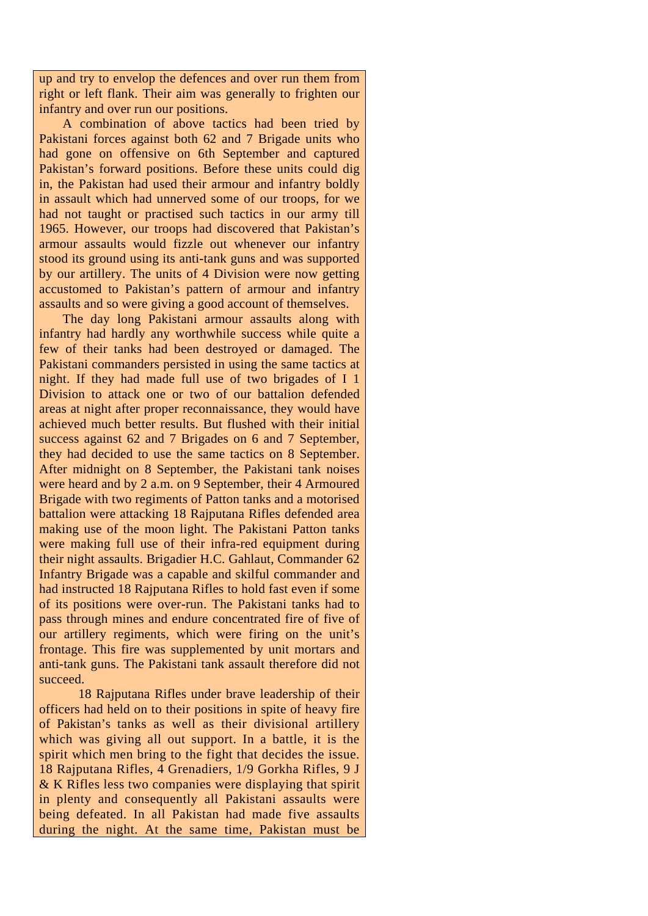up and try to envelop the defences and over run them from right or left flank. Their aim was generally to frighten our infantry and over run our positions.

A combination of above tactics had been tried by Pakistani forces against both 62 and 7 Brigade units who had gone on offensive on 6th September and captured Pakistan's forward positions. Before these units could dig in, the Pakistan had used their armour and infantry boldly in assault which had unnerved some of our troops, for we had not taught or practised such tactics in our army till 1965. However, our troops had discovered that Pakistan's armour assaults would fizzle out whenever our infantry stood its ground using its anti-tank guns and was supported by our artillery. The units of 4 Division were now getting accustomed to Pakistan's pattern of armour and infantry assaults and so were giving a good account of themselves.

The day long Pakistani armour assaults along with infantry had hardly any worthwhile success while quite a few of their tanks had been destroyed or damaged. The Pakistani commanders persisted in using the same tactics at night. If they had made full use of two brigades of I 1 Division to attack one or two of our battalion defended areas at night after proper reconnaissance, they would have achieved much better results. But flushed with their initial success against 62 and 7 Brigades on 6 and 7 September, they had decided to use the same tactics on 8 September. After midnight on 8 September, the Pakistani tank noises were heard and by 2 a.m. on 9 September, their 4 Armoured Brigade with two regiments of Patton tanks and a motorised battalion were attacking 18 Rajputana Rifles defended area making use of the moon light. The Pakistani Patton tanks were making full use of their infra-red equipment during their night assaults. Brigadier H.C. Gahlaut, Commander 62 Infantry Brigade was a capable and skilful commander and had instructed 18 Rajputana Rifles to hold fast even if some of its positions were over-run. The Pakistani tanks had to pass through mines and endure concentrated fire of five of our artillery regiments, which were firing on the unit's frontage. This fire was supplemented by unit mortars and anti-tank guns. The Pakistani tank assault therefore did not succeed.

18 Rajputana Rifles under brave leadership of their officers had held on to their positions in spite of heavy fire of Pakistan's tanks as well as their divisional artillery which was giving all out support. In a battle, it is the spirit which men bring to the fight that decides the issue. 18 Rajputana Rifles, 4 Grenadiers, 1/9 Gorkha Rifles, 9 J & K Rifles less two companies were displaying that spirit in plenty and consequently all Pakistani assaults were being defeated. In all Pakistan had made five assaults during the night. At the same time, Pakistan must be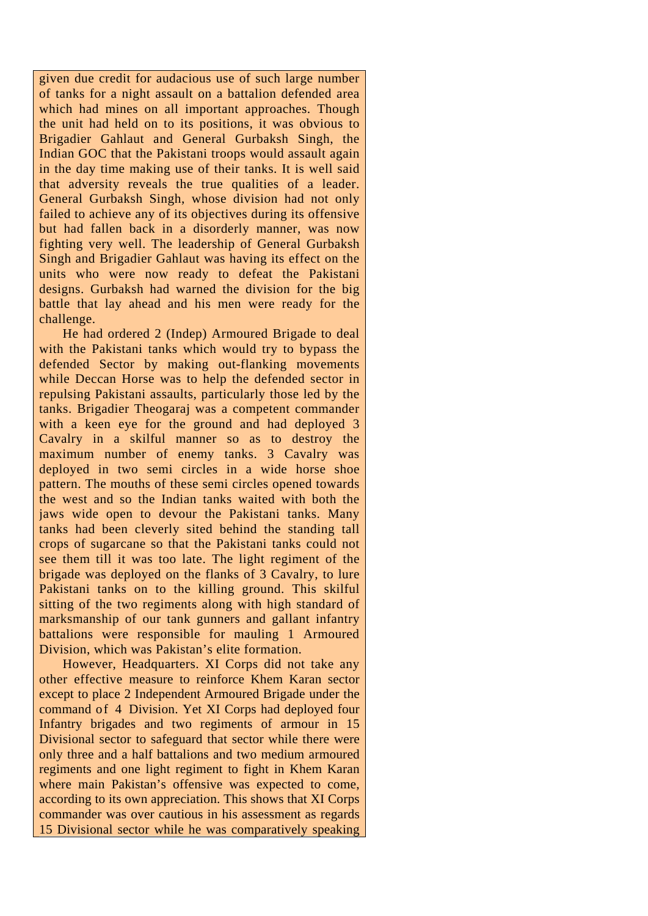given due credit for audacious use of such large number of tanks for a night assault on a battalion defended area which had mines on all important approaches. Though the unit had held on to its positions, it was obvious to Brigadier Gahlaut and General Gurbaksh Singh, the Indian GOC that the Pakistani troops would assault again in the day time making use of their tanks. It is well said that adversity reveals the true qualities of a leader. General Gurbaksh Singh, whose division had not only failed to achieve any of its objectives during its offensive but had fallen back in a disorderly manner, was now fighting very well. The leadership of General Gurbaksh Singh and Brigadier Gahlaut was having its effect on the units who were now ready to defeat the Pakistani designs. Gurbaksh had warned the division for the big battle that lay ahead and his men were ready for the challenge.

He had ordered 2 (Indep) Armoured Brigade to deal with the Pakistani tanks which would try to bypass the defended Sector by making out-flanking movements while Deccan Horse was to help the defended sector in repulsing Pakistani assaults, particularly those led by the tanks. Brigadier Theogaraj was a competent commander with a keen eye for the ground and had deployed 3 Cavalry in a skilful manner so as to destroy the maximum number of enemy tanks. 3 Cavalry was deployed in two semi circles in a wide horse shoe pattern. The mouths of these semi circles opened towards the west and so the Indian tanks waited with both the jaws wide open to devour the Pakistani tanks. Many tanks had been cleverly sited behind the standing tall crops of sugarcane so that the Pakistani tanks could not see them till it was too late. The light regiment of the brigade was deployed on the flanks of 3 Cavalry, to lure Pakistani tanks on to the killing ground. This skilful sitting of the two regiments along with high standard of marksmanship of our tank gunners and gallant infantry battalions were responsible for mauling 1 Armoured Division, which was Pakistan's elite formation.

However, Headquarters. XI Corps did not take any other effective measure to reinforce Khem Karan sector except to place 2 Independent Armoured Brigade under the command of 4 Division. Yet XI Corps had deployed four Infantry brigades and two regiments of armour in 15 Divisional sector to safeguard that sector while there were only three and a half battalions and two medium armoured regiments and one light regiment to fight in Khem Karan where main Pakistan's offensive was expected to come, according to its own appreciation. This shows that XI Corps commander was over cautious in his assessment as regards 15 Divisional sector while he was comparatively speaking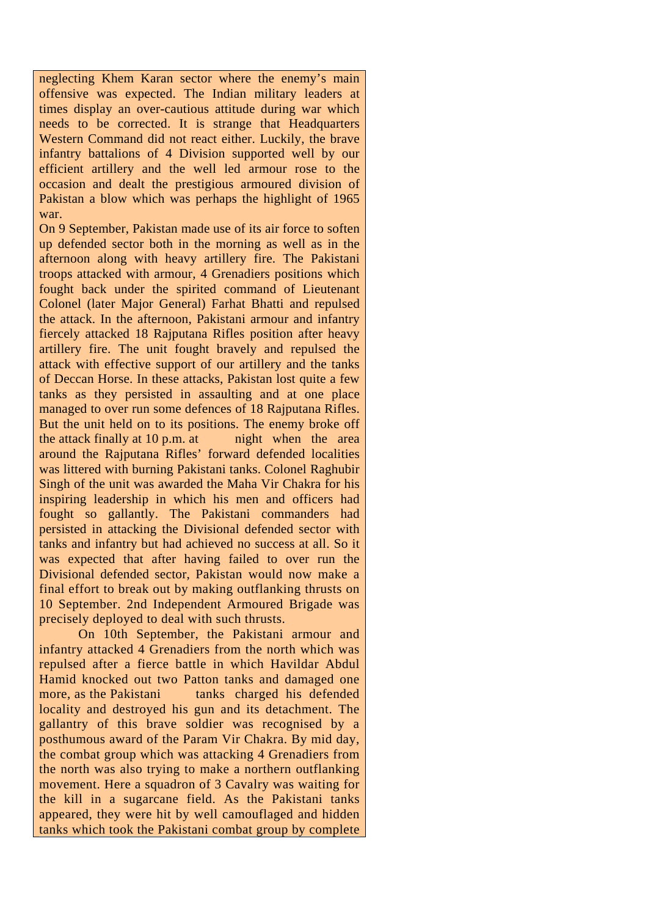neglecting Khem Karan sector where the enemy's main offensive was expected. The Indian military leaders at times display an over-cautious attitude during war which needs to be corrected. It is strange that Headquarters Western Command did not react either. Luckily, the brave infantry battalions of 4 Division supported well by our efficient artillery and the well led armour rose to the occasion and dealt the prestigious armoured division of Pakistan a blow which was perhaps the highlight of 1965 war.

On 9 September, Pakistan made use of its air force to soften up defended sector both in the morning as well as in the afternoon along with heavy artillery fire. The Pakistani troops attacked with armour, 4 Grenadiers positions which fought back under the spirited command of Lieutenant Colonel (later Major General) Farhat Bhatti and repulsed the attack. In the afternoon, Pakistani armour and infantry fiercely attacked 18 Rajputana Rifles position after heavy artillery fire. The unit fought bravely and repulsed the attack with effective support of our artillery and the tanks of Deccan Horse. In these attacks, Pakistan lost quite a few tanks as they persisted in assaulting and at one place managed to over run some defences of 18 Rajputana Rifles. But the unit held on to its positions. The enemy broke off the attack finally at  $10$  p.m. at night when the area around the Rajputana Rifles' forward defended localities was littered with burning Pakistani tanks. Colonel Raghubir Singh of the unit was awarded the Maha Vir Chakra for his inspiring leadership in which his men and officers had fought so gallantly. The Pakistani commanders had persisted in attacking the Divisional defended sector with tanks and infantry but had achieved no success at all. So it was expected that after having failed to over run the Divisional defended sector, Pakistan would now make a final effort to break out by making outflanking thrusts on 10 September. 2nd Independent Armoured Brigade was precisely deployed to deal with such thrusts.

On 10th September, the Pakistani armour and infantry attacked 4 Grenadiers from the north which was repulsed after a fierce battle in which Havildar Abdul Hamid knocked out two Patton tanks and damaged one more, as the Pakistani tanks charged his defended locality and destroyed his gun and its detachment. The gallantry of this brave soldier was recognised by a posthumous award of the Param Vir Chakra. By mid day, the combat group which was attacking 4 Grenadiers from the north was also trying to make a northern outflanking movement. Here a squadron of 3 Cavalry was waiting for the kill in a sugarcane field. As the Pakistani tanks appeared, they were hit by well camouflaged and hidden tanks which took the Pakistani combat group by complete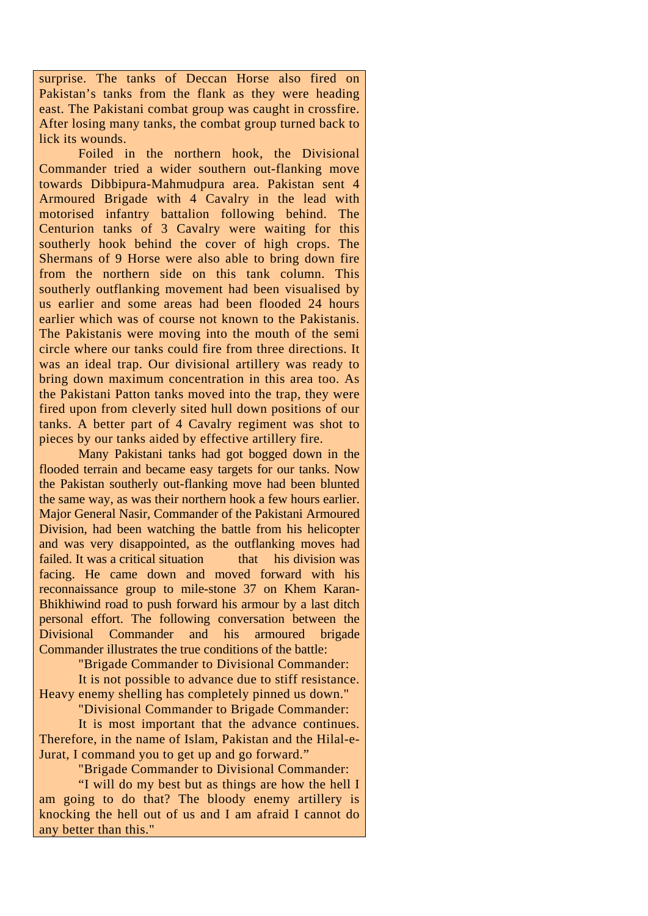surprise. The tanks of Deccan Horse also fired on Pakistan's tanks from the flank as they were heading east. The Pakistani combat group was caught in crossfire. After losing many tanks, the combat group turned back to lick its wounds.

Foiled in the northern hook, the Divisional Commander tried a wider southern out-flanking move towards Dibbipura-Mahmudpura area. Pakistan sent 4 Armoured Brigade with 4 Cavalry in the lead with motorised infantry battalion following behind. The Centurion tanks of 3 Cavalry were waiting for this southerly hook behind the cover of high crops. The Shermans of 9 Horse were also able to bring down fire from the northern side on this tank column. This southerly outflanking movement had been visualised by us earlier and some areas had been flooded 24 hours earlier which was of course not known to the Pakistanis. The Pakistanis were moving into the mouth of the semi circle where our tanks could fire from three directions. It was an ideal trap. Our divisional artillery was ready to bring down maximum concentration in this area too. As the Pakistani Patton tanks moved into the trap, they were fired upon from cleverly sited hull down positions of our tanks. A better part of 4 Cavalry regiment was shot to pieces by our tanks aided by effective artillery fire.

Many Pakistani tanks had got bogged down in the flooded terrain and became easy targets for our tanks. Now the Pakistan southerly out-flanking move had been blunted the same way, as was their northern hook a few hours earlier. Major General Nasir, Commander of the Pakistani Armoured Division, had been watching the battle from his helicopter and was very disappointed, as the outflanking moves had failed. It was a critical situation that his division was facing. He came down and moved forward with his reconnaissance group to mile-stone 37 on Khem Karan-Bhikhiwind road to push forward his armour by a last ditch personal effort. The following conversation between the Divisional Commander and his armoured brigade Commander illustrates the true conditions of the battle:

"Brigade Commander to Divisional Commander:

It is not possible to advance due to stiff resistance. Heavy enemy shelling has completely pinned us down."

"Divisional Commander to Brigade Commander:

It is most important that the advance continues. Therefore, in the name of Islam, Pakistan and the Hilal-e-Jurat, I command you to get up and go forward."

"Brigade Commander to Divisional Commander:

"I will do my best but as things are how the hell I am going to do that? The bloody enemy artillery is knocking the hell out of us and I am afraid I cannot do any better than this."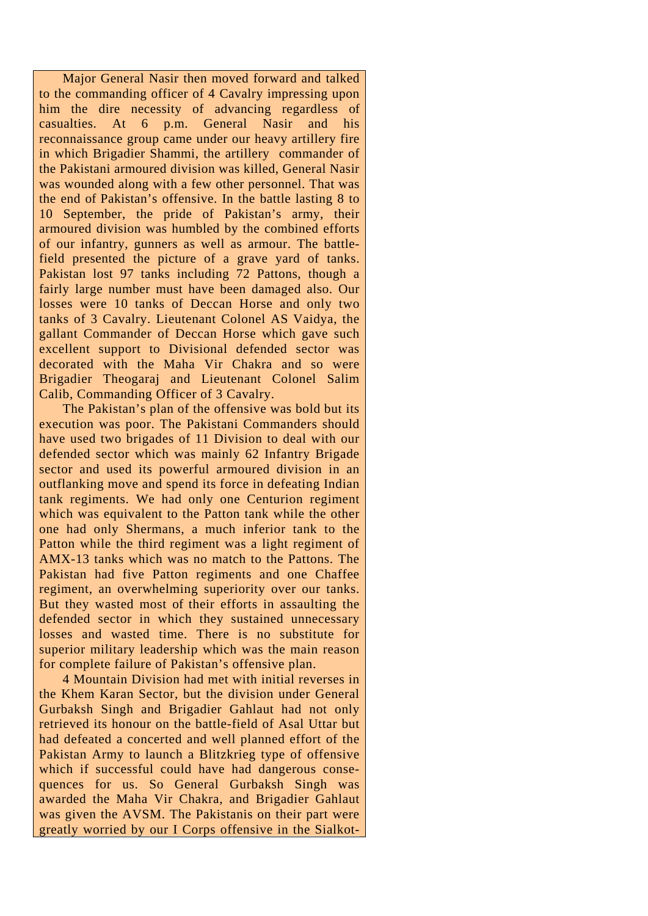Major General Nasir then moved forward and talked to the commanding officer of 4 Cavalry impressing upon him the dire necessity of advancing regardless of casualties. At 6 p.m. General Nasir and his reconnaissance group came under our heavy artillery fire in which Brigadier Shammi, the artillery commander of the Pakistani armoured division was killed, General Nasir was wounded along with a few other personnel. That was the end of Pakistan's offensive. In the battle lasting 8 to 10 September, the pride of Pakistan's army, their armoured division was humbled by the combined efforts of our infantry, gunners as well as armour. The battlefield presented the picture of a grave yard of tanks. Pakistan lost 97 tanks including 72 Pattons, though a fairly large number must have been damaged also. Our losses were 10 tanks of Deccan Horse and only two tanks of 3 Cavalry. Lieutenant Colonel AS Vaidya, the gallant Commander of Deccan Horse which gave such excellent support to Divisional defended sector was decorated with the Maha Vir Chakra and so were Brigadier Theogaraj and Lieutenant Colonel Salim Calib, Commanding Officer of 3 Cavalry.

The Pakistan's plan of the offensive was bold but its execution was poor. The Pakistani Commanders should have used two brigades of 11 Division to deal with our defended sector which was mainly 62 Infantry Brigade sector and used its powerful armoured division in an outflanking move and spend its force in defeating Indian tank regiments. We had only one Centurion regiment which was equivalent to the Patton tank while the other one had only Shermans, a much inferior tank to the Patton while the third regiment was a light regiment of AMX-13 tanks which was no match to the Pattons. The Pakistan had five Patton regiments and one Chaffee regiment, an overwhelming superiority over our tanks. But they wasted most of their efforts in assaulting the defended sector in which they sustained unnecessary losses and wasted time. There is no substitute for superior military leadership which was the main reason for complete failure of Pakistan's offensive plan.

4 Mountain Division had met with initial reverses in the Khem Karan Sector, but the division under General Gurbaksh Singh and Brigadier Gahlaut had not only retrieved its honour on the battle-field of Asal Uttar but had defeated a concerted and well planned effort of the Pakistan Army to launch a Blitzkrieg type of offensive which if successful could have had dangerous consequences for us. So General Gurbaksh Singh was awarded the Maha Vir Chakra, and Brigadier Gahlaut was given the AVSM. The Pakistanis on their part were greatly worried by our I Corps offensive in the Sialkot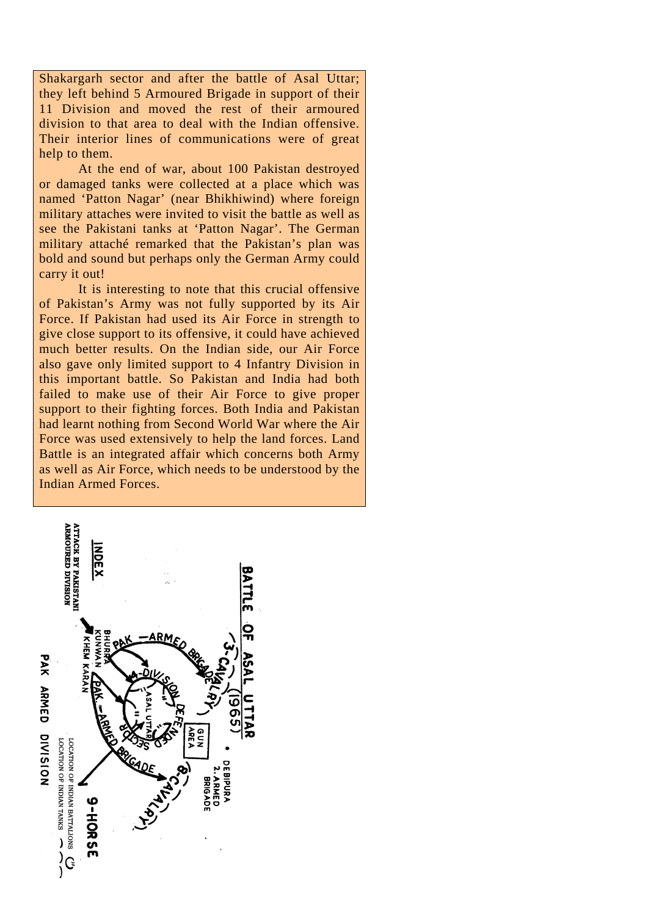Shakargarh sector and after the battle of Asal Uttar; they left behind 5 Armoured Brigade in support of their 11 Division and moved the rest of their armoured division to that area to deal with the Indian offensive. Their interior lines of communications were of great help to them.

At the end of war, about 100 Pakistan destroyed or damaged tanks were collected at a place which was named 'Patton Nagar' (near Bhikhiwind) where foreign military attaches were invited to visit the battle as well as see the Pakistani tanks at 'Patton Nagar'. The German military attaché remarked that the Pakistan's plan was bold and sound but perhaps only the German Army could carry it out!

It is interesting to note that this crucial offensive of Pakistan's Army was not fully supported by its Air Force. If Pakistan had used its Air Force in strength to give close support to its offensive, it could have achieved much better results. On the Indian side, our Air Force also gave only limited support to 4 Infantry Division in this important battle. So Pakistan and India had both failed to make use of their Air Force to give proper support to their fighting forces. Both India and Pakistan had learnt nothing from Second World War where the Air Force was used extensively to help the land forces. Land Battle is an integrated affair which concerns both Army as well as Air Force, which needs to be understood by the Indian Armed Forces.